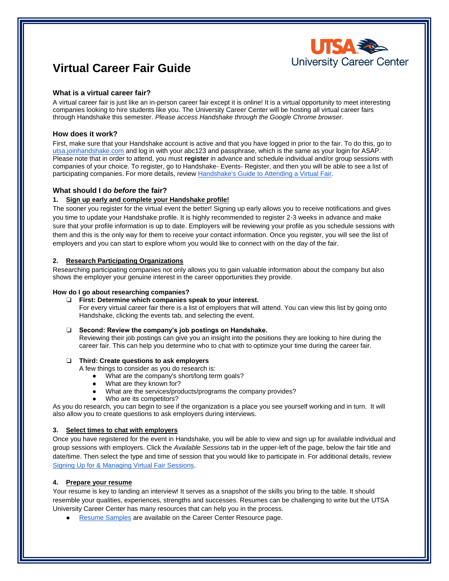

# **Virtual Career Fair Guide**

# **What is a virtual career fair?**

A virtual career fair is just like an in-person career fair except it is online! It is a virtual opportunity to meet interesting companies looking to hire students like you. The University Career Center will be hosting all virtual career fairs through Handshake this semester. *Please access Handshake through the Google Chrome browser.*

# **How does it work?**

First, make sure that your Handshake account is active and that you have logged in prior to the fair. To do this, go to [utsa.joinhandshake.com](https://utsa.joinhandshake.com/) and log in with your abc123 and passphrase, which is the same as your login for ASAP. Please note that in order to attend, you must **register** in advance and schedule individual and/or group sessions with companies of your choice. To register, go to Handshake- Events- Register, and then you will be able to see a list of participating companies. For more details, review [Handshake's Guide to Attending a Virtual Fair.](https://support.joinhandshake.com/hc/en-us/articles/360049934274?_ga=2.40683242.974904392.1598992283-569950135.1592242598)

# **What should I do** *before* **the fair?**

# **1. Sign up early and complete your Handshake profile!**

The sooner you register for the virtual event the better! Signing up early allows you to receive notifications and gives you time to update your Handshake profile. It is highly recommended to register 2-3 weeks in advance and make sure that your profile information is up to date. Employers will be reviewing your profile as you schedule sessions with them and this is the only way for them to receive your contact information. Once you register, you will see the list of employers and you can start to explore whom you would like to connect with on the day of the fair.

# **2. Research Participating Organizations**

Researching participating companies not only allows you to gain valuable information about the company but also shows the employer your genuine interest in the career opportunities they provide.

# **How do I go about researching companies?**

#### ❏ **First: Determine which companies speak to your interest.**

For every virtual career fair there is a list of employers that will attend. You can view this list by going onto Handshake, clicking the events tab, and selecting the event.

# ❏ **Second: Review the company's job postings on Handshake.**

Reviewing their job postings can give you an insight into the positions they are looking to hire during the career fair. This can help you determine who to chat with to optimize your time during the career fair.

# ❏ **Third: Create questions to ask employers**

A few things to consider as you do research is:

- What are the company's short/long term goals?
- What are they known for?
- What are the services/products/programs the company provides?
- Who are its competitors?

As you do research, you can begin to see if the organization is a place you see yourself working and in turn. It will also allow you to create questions to ask employers during interviews.

# **3. Select times to chat with employers**

Once you have registered for the event in Handshake, you will be able to view and sign up for available individual and group sessions with employers. Click the *Available Sessions* tab in the upper-left of the page, below the fair title and date/time. Then select the type and time of session that you would like to participate in. For additional details, review [Signing Up for & Managing Virtual Fair Sessions.](https://support.joinhandshake.com/hc/en-us/articles/360051394454)

# **4. Prepare your resume**

Your resume is key to landing an interview! It serves as a snapshot of the skills you bring to the table. It should resemble your qualities, experiences, strengths and successes. Resumes can be challenging to write but the UTSA University Career Center has many resources that can help you in the process.

**[Resume Samples](https://careercenter.utsa.edu/resources/resume-sample-resource-12-2018/) are available on the Career Center Resource page.**